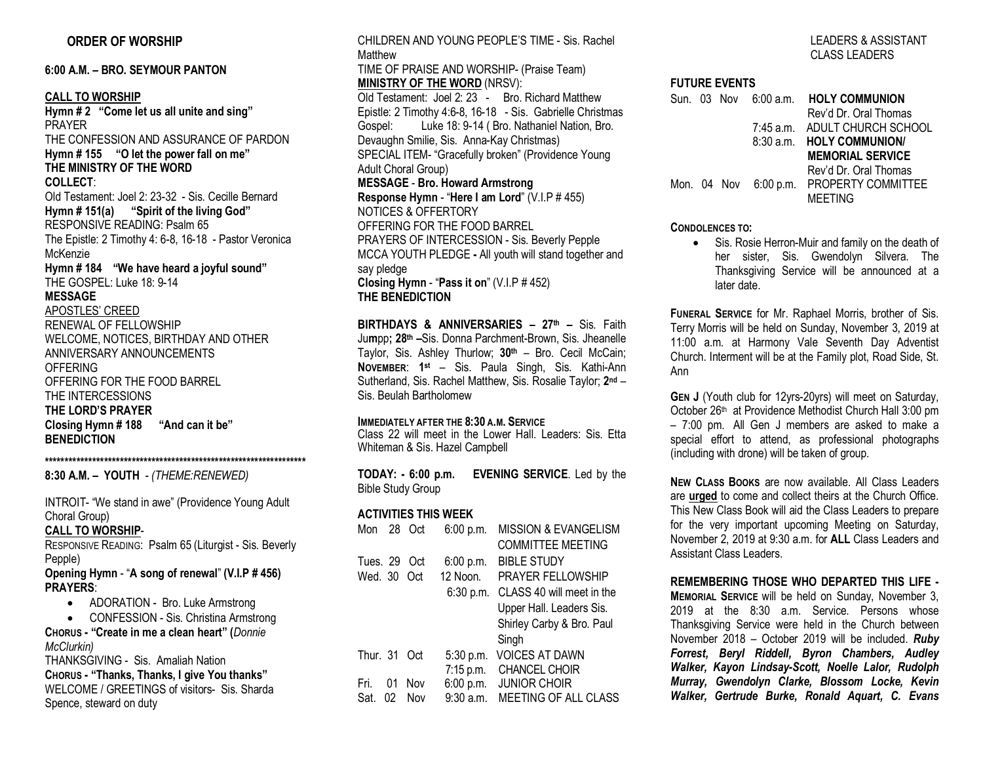## **ORDER OF WORSHIP**

**6:00 A.M. – BRO. SEYMOUR PANTON**

**CALL TO WORSHIP Hymn # 2 "Come let us all unite and sing"** PRAYER THE CONFESSION AND ASSURANCE OF PARDON **Hymn # 155 "O let the power fall on me" THE MINISTRY OF THE WORD COLLECT**: Old Testament: Joel 2: 23-32 - Sis. Cecille Bernard **Hymn # 151(a) "Spirit of the living God"** RESPONSIVE READING: Psalm 65 The Epistle: 2 Timothy 4: 6-8, 16-18 - Pastor Veronica McKenzie **Hymn # 184 "We have heard a joyful sound"** THE GOSPEL: Luke 18: 9-14 **MESSAGE** APOSTLES' CREED RENEWAL OF FELLOWSHIP WELCOME, NOTICES, BIRTHDAY AND OTHER ANNIVERSARY ANNOUNCEMENTS OFFERING OFFERING FOR THE FOOD BARREL THE INTERCESSIONS **THE LORD'S PRAYER Closing Hymn # 188 "And can it be" BENEDICTION**

#### **\*\*\*\*\*\*\*\*\*\*\*\*\*\*\*\*\*\*\*\*\*\*\*\*\*\*\*\*\*\*\*\*\*\*\*\*\*\*\*\*\*\*\*\*\*\*\*\*\*\*\*\*\*\*\*\*\*\*\*\*\*\*\*\*\*\***

**8:30 A.M. – YOUTH** *- (THEME:RENEWED)*

INTROIT- "We stand in awe" (Providence Young Adult Choral Group)

#### **CALL TO WORSHIP**-

RESPONSIVE READING: Psalm 65 (Liturgist - Sis. Beverly Pepple)

#### **Opening Hymn** - "**A song of renewal**" **(V.I.P # 456) PRAYERS**:

- ADORATION Bro. Luke Armstrong
- CONFESSION Sis. Christina Armstrong **CHORUS - "Create in me a clean heart" (***Donnie*

*McClurkin)*

THANKSGIVING - Sis. Amaliah Nation **CHORUS - "Thanks, Thanks, I give You thanks"**  WELCOME / GREETINGS of visitors- Sis. Sharda Spence, steward on duty

CHILDREN AND YOUNG PEOPLE'S TIME - Sis. Rachel **Matthew** TIME OF PRAISE AND WORSHIP- (Praise Team) **MINISTRY OF THE WORD** (NRSV): Old Testament: Joel 2: 23 - Bro. Richard Matthew Epistle: 2 Timothy 4:6-8, 16-18 - Sis. Gabrielle Christmas Gospel: Luke 18: 9-14 ( Bro. Nathaniel Nation, Bro. Devaughn Smilie, Sis. Anna-Kay Christmas) SPECIAL ITEM- "Gracefully broken" (Providence Young Adult Choral Group) **MESSAGE** - **Bro. Howard Armstrong Response Hymn** - "**Here I am Lord**" (V.I.P # 455) NOTICES & OFFERTORY OFFERING FOR THE FOOD BARREL PRAYERS OF INTERCESSION - Sis. Beverly Pepple MCCA YOUTH PLEDGE **-** All youth will stand together and say pledge **Closing Hymn** - "**Pass it on**" (V.I.P # 452) **THE BENEDICTION**

**BIRTHDAYS & ANNIVERSARIES – 27th –** Sis. Faith Ju**m**pp**; 28th –**Sis. Donna Parchment-Brown, Sis. Jheanelle Taylor, Sis. Ashley Thurlow; **30th** – Bro. Cecil McCain; **NOVEMBER**: **1st** – Sis. Paula Singh, Sis. Kathi-Ann Sutherland, Sis. Rachel Matthew, Sis. Rosalie Taylor; **2nd** – Sis. Beulah Bartholomew

#### **IMMEDIATELY AFTER THE 8:30 A.M. SERVICE**

Class 22 will meet in the Lower Hall. Leaders: Sis. Etta Whiteman & Sis. Hazel Campbell

**TODAY: - 6:00 p.m. EVENING SERVICE**. Led by the Bible Study Group

#### **ACTIVITIES THIS WEEK**

| Mon      | 28 | Oct | 6:00 p.m.   | <b>MISSION &amp; EVANGELISM</b> |
|----------|----|-----|-------------|---------------------------------|
|          |    |     |             | <b>COMMITTEE MEETING</b>        |
| Tues. 29 |    | Oct | 6:00 p.m.   | <b>BIBLE STUDY</b>              |
| Wed. 30  |    | Oct | 12 Noon.    | PRAYER FELLOWSHIP               |
|          |    |     | $6:30$ p.m. | CLASS 40 will meet in the       |
|          |    |     |             | Upper Hall. Leaders Sis.        |
|          |    |     |             | Shirley Carby & Bro. Paul       |
|          |    |     |             | Singh                           |
| Thur. 31 |    | Oct | 5:30 p.m.   | <b>VOICES AT DAWN</b>           |
|          |    |     | 7:15 p.m.   | <b>CHANCEL CHOIR</b>            |
| Fri      | 01 | Nov | 6:00 p.m.   | <b>JUNIOR CHOIR</b>             |
| Sat.     | 02 | Nov | $9:30$ a.m. | <b>MEETING OF ALL CLASS</b>     |

## LEADERS & ASSISTANT CLASS LEADERS

#### **FUTURE EVENTS**

|  |  | Sun. 03 Nov 6:00 a.m. HOLY COMMUNION     |
|--|--|------------------------------------------|
|  |  | Rev'd Dr. Oral Thomas                    |
|  |  | 7:45 a.m. ADULT CHURCH SCHOOL            |
|  |  | 8:30 a.m. HOLY COMMUNION                 |
|  |  | <b>MEMORIAL SERVICE</b>                  |
|  |  | Rev'd Dr. Oral Thomas                    |
|  |  | Mon. 04 Nov 6:00 p.m. PROPERTY COMMITTEE |
|  |  | <b>MEETING</b>                           |
|  |  |                                          |

#### **CONDOLENCES TO:**

• Sis. Rosie Herron-Muir and family on the death of her sister, Sis. Gwendolyn Silvera. The Thanksgiving Service will be announced at a later date.

**FUNERAL SERVICE** for Mr. Raphael Morris, brother of Sis. Terry Morris will be held on Sunday, November 3, 2019 at 11:00 a.m. at Harmony Vale Seventh Day Adventist Church. Interment will be at the Family plot, Road Side, St. Ann

**GEN J** (Youth club for 12yrs-20yrs) will meet on Saturday, October 26th at Providence Methodist Church Hall 3:00 pm – 7:00 pm. All Gen J members are asked to make a special effort to attend, as professional photographs (including with drone) will be taken of group.

**NEW CLASS BOOKS** are now available. All Class Leaders are **urged** to come and collect theirs at the Church Office. This New Class Book will aid the Class Leaders to prepare for the very important upcoming Meeting on Saturday, November 2, 2019 at 9:30 a.m. for **ALL** Class Leaders and Assistant Class Leaders.

#### **REMEMBERING THOSE WHO DEPARTED THIS LIFE -**

**MEMORIAL SERVICE** will be held on Sunday, November 3, 2019 at the 8:30 a.m. Service. Persons whose Thanksgiving Service were held in the Church between November 2018 – October 2019 will be included. *Ruby Forrest, Beryl Riddell, Byron Chambers, Audley Walker, Kayon Lindsay-Scott, Noelle Lalor, Rudolph Murray, Gwendolyn Clarke, Blossom Locke, Kevin Walker, Gertrude Burke, Ronald Aquart, C. Evans*